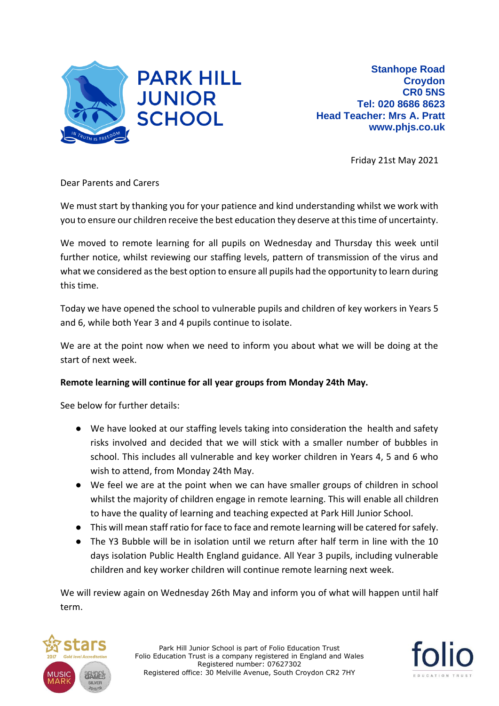

Friday 21st May 2021

Dear Parents and Carers

We must start by thanking you for your patience and kind understanding whilst we work with you to ensure our children receive the best education they deserve at this time of uncertainty.

We moved to remote learning for all pupils on Wednesday and Thursday this week until further notice, whilst reviewing our staffing levels, pattern of transmission of the virus and what we considered as the best option to ensure all pupils had the opportunity to learn during this time.

Today we have opened the school to vulnerable pupils and children of key workers in Years 5 and 6, while both Year 3 and 4 pupils continue to isolate.

We are at the point now when we need to inform you about what we will be doing at the start of next week.

## **Remote learning will continue for all year groups from Monday 24th May.**

See below for further details:

- We have looked at our staffing levels taking into consideration the health and safety risks involved and decided that we will stick with a smaller number of bubbles in school. This includes all vulnerable and key worker children in Years 4, 5 and 6 who wish to attend, from Monday 24th May.
- We feel we are at the point when we can have smaller groups of children in school whilst the majority of children engage in remote learning. This will enable all children to have the quality of learning and teaching expected at Park Hill Junior School.
- This will mean staff ratio for face to face and remote learning will be catered for safely.
- The Y3 Bubble will be in isolation until we return after half term in line with the 10 days isolation Public Health England guidance. All Year 3 pupils, including vulnerable children and key worker children will continue remote learning next week.

We will review again on Wednesday 26th May and inform you of what will happen until half term.